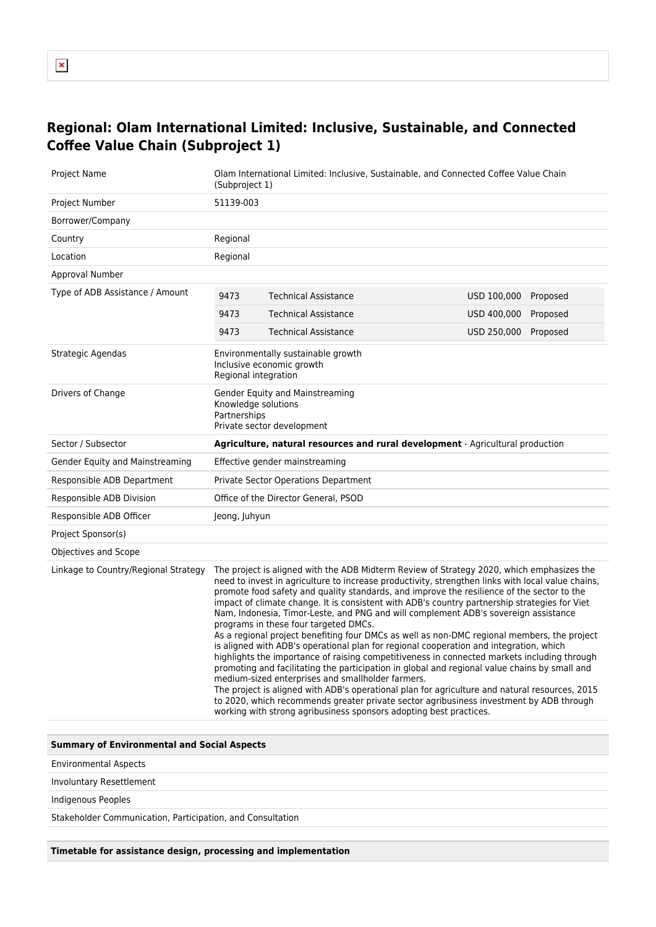## **Regional: Olam International Limited: Inclusive, Sustainable, and Connected Coffee Value Chain (Subproject 1)**

| Project Name                         | Olam International Limited: Inclusive, Sustainable, and Connected Coffee Value Chain<br>(Subproject 1)                                                                                                                                                                                                                                                                                                                                                                                                                                                                                                                                                                                                                                                                                                                                                                                                                                                                                                                                                                                                                                                                                                                                         |                             |                      |          |
|--------------------------------------|------------------------------------------------------------------------------------------------------------------------------------------------------------------------------------------------------------------------------------------------------------------------------------------------------------------------------------------------------------------------------------------------------------------------------------------------------------------------------------------------------------------------------------------------------------------------------------------------------------------------------------------------------------------------------------------------------------------------------------------------------------------------------------------------------------------------------------------------------------------------------------------------------------------------------------------------------------------------------------------------------------------------------------------------------------------------------------------------------------------------------------------------------------------------------------------------------------------------------------------------|-----------------------------|----------------------|----------|
| Project Number                       | 51139-003                                                                                                                                                                                                                                                                                                                                                                                                                                                                                                                                                                                                                                                                                                                                                                                                                                                                                                                                                                                                                                                                                                                                                                                                                                      |                             |                      |          |
| Borrower/Company                     |                                                                                                                                                                                                                                                                                                                                                                                                                                                                                                                                                                                                                                                                                                                                                                                                                                                                                                                                                                                                                                                                                                                                                                                                                                                |                             |                      |          |
| Country                              | Regional                                                                                                                                                                                                                                                                                                                                                                                                                                                                                                                                                                                                                                                                                                                                                                                                                                                                                                                                                                                                                                                                                                                                                                                                                                       |                             |                      |          |
| Location                             | Regional                                                                                                                                                                                                                                                                                                                                                                                                                                                                                                                                                                                                                                                                                                                                                                                                                                                                                                                                                                                                                                                                                                                                                                                                                                       |                             |                      |          |
| Approval Number                      |                                                                                                                                                                                                                                                                                                                                                                                                                                                                                                                                                                                                                                                                                                                                                                                                                                                                                                                                                                                                                                                                                                                                                                                                                                                |                             |                      |          |
| Type of ADB Assistance / Amount      | 9473                                                                                                                                                                                                                                                                                                                                                                                                                                                                                                                                                                                                                                                                                                                                                                                                                                                                                                                                                                                                                                                                                                                                                                                                                                           | <b>Technical Assistance</b> | USD 100,000 Proposed |          |
|                                      | 9473                                                                                                                                                                                                                                                                                                                                                                                                                                                                                                                                                                                                                                                                                                                                                                                                                                                                                                                                                                                                                                                                                                                                                                                                                                           | <b>Technical Assistance</b> | USD 400,000          | Proposed |
|                                      | 9473                                                                                                                                                                                                                                                                                                                                                                                                                                                                                                                                                                                                                                                                                                                                                                                                                                                                                                                                                                                                                                                                                                                                                                                                                                           | <b>Technical Assistance</b> | USD 250,000 Proposed |          |
| Strategic Agendas                    | Environmentally sustainable growth<br>Inclusive economic growth<br>Regional integration                                                                                                                                                                                                                                                                                                                                                                                                                                                                                                                                                                                                                                                                                                                                                                                                                                                                                                                                                                                                                                                                                                                                                        |                             |                      |          |
| Drivers of Change                    | Gender Equity and Mainstreaming<br>Knowledge solutions<br>Partnerships<br>Private sector development                                                                                                                                                                                                                                                                                                                                                                                                                                                                                                                                                                                                                                                                                                                                                                                                                                                                                                                                                                                                                                                                                                                                           |                             |                      |          |
| Sector / Subsector                   | <b>Agriculture, natural resources and rural development</b> - Agricultural production                                                                                                                                                                                                                                                                                                                                                                                                                                                                                                                                                                                                                                                                                                                                                                                                                                                                                                                                                                                                                                                                                                                                                          |                             |                      |          |
| Gender Equity and Mainstreaming      | Effective gender mainstreaming                                                                                                                                                                                                                                                                                                                                                                                                                                                                                                                                                                                                                                                                                                                                                                                                                                                                                                                                                                                                                                                                                                                                                                                                                 |                             |                      |          |
| Responsible ADB Department           | Private Sector Operations Department                                                                                                                                                                                                                                                                                                                                                                                                                                                                                                                                                                                                                                                                                                                                                                                                                                                                                                                                                                                                                                                                                                                                                                                                           |                             |                      |          |
| Responsible ADB Division             | Office of the Director General, PSOD                                                                                                                                                                                                                                                                                                                                                                                                                                                                                                                                                                                                                                                                                                                                                                                                                                                                                                                                                                                                                                                                                                                                                                                                           |                             |                      |          |
| Responsible ADB Officer              | Jeong, Juhyun                                                                                                                                                                                                                                                                                                                                                                                                                                                                                                                                                                                                                                                                                                                                                                                                                                                                                                                                                                                                                                                                                                                                                                                                                                  |                             |                      |          |
| Project Sponsor(s)                   |                                                                                                                                                                                                                                                                                                                                                                                                                                                                                                                                                                                                                                                                                                                                                                                                                                                                                                                                                                                                                                                                                                                                                                                                                                                |                             |                      |          |
| Objectives and Scope                 |                                                                                                                                                                                                                                                                                                                                                                                                                                                                                                                                                                                                                                                                                                                                                                                                                                                                                                                                                                                                                                                                                                                                                                                                                                                |                             |                      |          |
| Linkage to Country/Regional Strategy | The project is aligned with the ADB Midterm Review of Strategy 2020, which emphasizes the<br>need to invest in agriculture to increase productivity, strengthen links with local value chains,<br>promote food safety and quality standards, and improve the resilience of the sector to the<br>impact of climate change. It is consistent with ADB's country partnership strategies for Viet<br>Nam, Indonesia, Timor-Leste, and PNG and will complement ADB's sovereign assistance<br>programs in these four targeted DMCs.<br>As a regional project benefiting four DMCs as well as non-DMC regional members, the project<br>is aligned with ADB's operational plan for regional cooperation and integration, which<br>highlights the importance of raising competitiveness in connected markets including through<br>promoting and facilitating the participation in global and regional value chains by small and<br>medium-sized enterprises and smallholder farmers.<br>The project is aligned with ADB's operational plan for agriculture and natural resources, 2015<br>to 2020, which recommends greater private sector agribusiness investment by ADB through<br>working with strong agribusiness sponsors adopting best practices. |                             |                      |          |

## **Summary of Environmental and Social Aspects**

Environmental Aspects

Involuntary Resettlement

Indigenous Peoples

Stakeholder Communication, Participation, and Consultation

**Timetable for assistance design, processing and implementation**